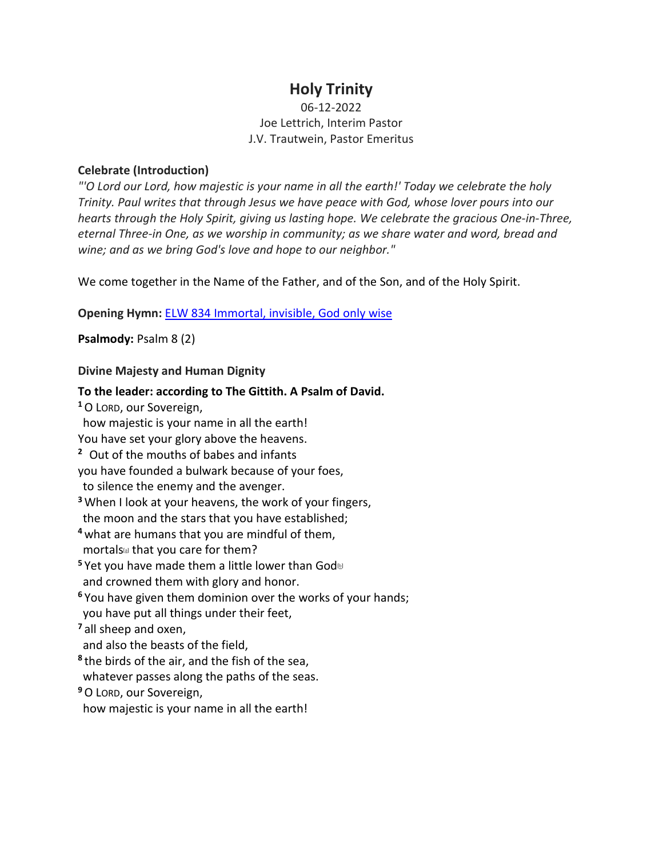# **Holy Trinity**

# 06-12-2022 Joe Lettrich, Interim Pastor J.V. Trautwein, Pastor Emeritus

# **Celebrate (Introduction)**

*"'O Lord our Lord, how majestic is your name in all the earth!' Today we celebrate the holy Trinity. Paul writes that through Jesus we have peace with God, whose lover pours into our hearts through the Holy Spirit, giving us lasting hope. We celebrate the gracious One-in-Three, eternal Three-in One, as we worship in community; as we share water and word, bread and wine; and as we bring God's love and hope to our neighbor."*

We come together in the Name of the Father, and of the Son, and of the Holy Spirit.

**Opening Hymn:** [ELW 834 Immortal, invisible, God only wise](https://www.youtube.com/watch?v=DD2e2N9Nvbk)

**Psalmody:** Psalm 8 (2)

# **Divine Majesty and Human Dignity**

**To the leader: according to The Gittith. A Psalm of David. <sup>1</sup>**O LORD, our Sovereign, how majestic is your name in all the earth! You have set your glory above the heavens. **<sup>2</sup>** Out of the mouths of babes and infants you have founded a bulwark because of your foes, to silence the enemy and the avenger. **<sup>3</sup>** When I look at your heavens, the work of your fingers, the moon and the stars that you have established; **<sup>4</sup>** what are humans that you are mindful of them, mortals<sup>[a]</sup> that you care for them? **<sup>5</sup>** Yet you have made them a little lower than God<sup>®</sup> and crowned them with glory and honor. **<sup>6</sup>** You have given them dominion over the works of your hands; you have put all things under their feet, **<sup>7</sup>** all sheep and oxen, and also the beasts of the field, **<sup>8</sup>** the birds of the air, and the fish of the sea, whatever passes along the paths of the seas. **<sup>9</sup>**O LORD, our Sovereign, how majestic is your name in all the earth!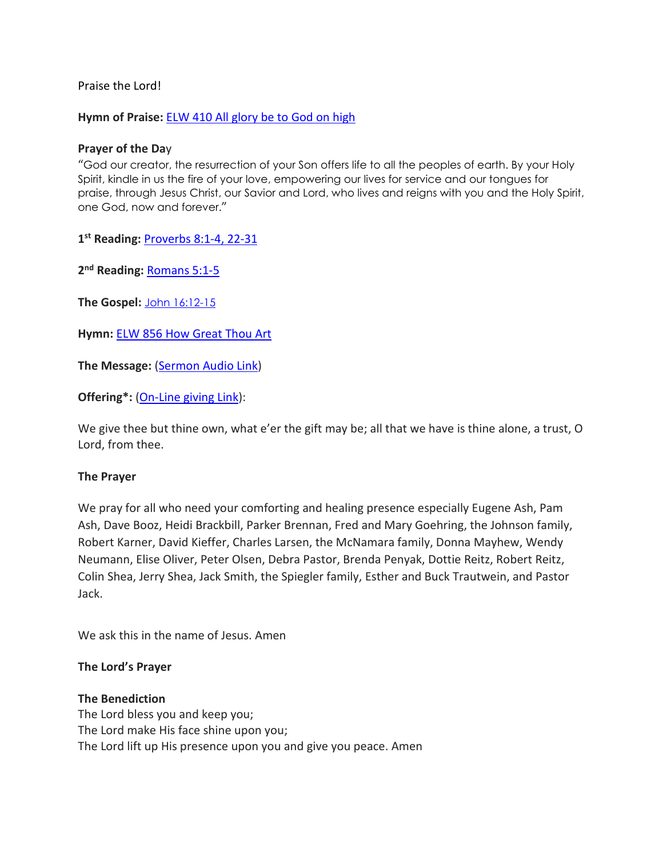Praise the Lord!

**Hymn of Praise:** [ELW 410 All glory be to God on high](https://www.youtube.com/watch?v=wyktEJPEIcc)

### **Prayer of the Da**y

"God our creator, the resurrection of your Son offers life to all the peoples of earth. By your Holy Spirit, kindle in us the fire of your love, empowering our lives for service and our tongues for praise, through Jesus Christ, our Savior and Lord, who lives and reigns with you and the Holy Spirit, one God, now and forever."

**1st Reading:** [Proverbs 8:1-4, 22-31](https://www.biblegateway.com/passage/?search=Proverbs%208:1-4,%20Proverbs%2022-31&version=NRSVUE)

**2nd Reading:** [Romans 5:1-5](https://www.biblegateway.com/passage/?search=Romans+5%3A1-5&version=NRSVUE)

**The Gospel:** [John 16:12-15](https://www.biblegateway.com/passage/?search=john+16%3A12-15&version=NRSVUE)

**Hymn:** [ELW 856 How Great Thou Art](https://www.youtube.com/watch?v=7_dtbmVdQY4)

**The Message:** [\(Sermon Audio](https://www.epiphanylutherancolumbia.org/sermons/sermon_20220612.mp3) Link)

**Offering\*:** [\(On-Line giving Link\)](https://tithe.ly/give_new/www/#/tithely/give-one-time/2627291):

We give thee but thine own, what e'er the gift may be; all that we have is thine alone, a trust, O Lord, from thee.

#### **The Prayer**

We pray for all who need your comforting and healing presence especially Eugene Ash, Pam Ash, Dave Booz, Heidi Brackbill, Parker Brennan, Fred and Mary Goehring, the Johnson family, Robert Karner, David Kieffer, Charles Larsen, the McNamara family, Donna Mayhew, Wendy Neumann, Elise Oliver, Peter Olsen, Debra Pastor, Brenda Penyak, Dottie Reitz, Robert Reitz, Colin Shea, Jerry Shea, Jack Smith, the Spiegler family, Esther and Buck Trautwein, and Pastor Jack.

We ask this in the name of Jesus. Amen

#### **The Lord's Prayer**

#### **The Benediction**

The Lord bless you and keep you; The Lord make His face shine upon you; The Lord lift up His presence upon you and give you peace. Amen